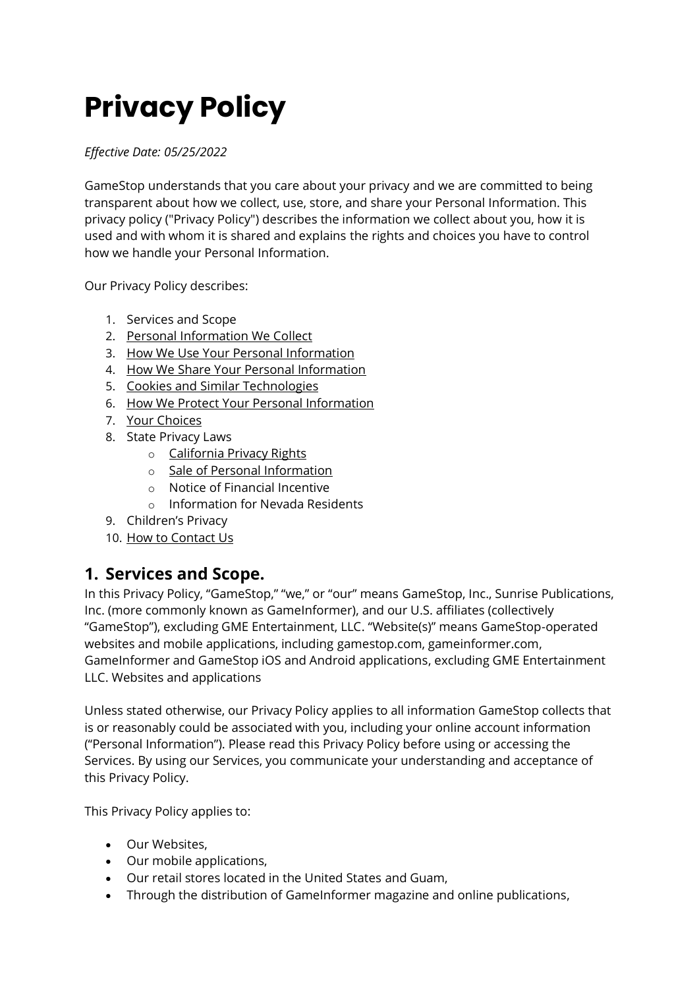# **Privacy Policy**

*Effective Date: 05/25/2022*

GameStop understands that you care about your privacy and we are committed to being transparent about how we collect, use, store, and share your Personal Information. This privacy policy ("Privacy Policy") describes the information we collect about you, how it is used and with whom it is shared and explains the rights and choices you have to control how we handle your Personal Information.

Our Privacy Policy describes:

- 1. Services and Scope
- 2. [Personal Information We Collect](https://www.gamestop.com/PrivacyPolicy.html#Personal-Information-We-Collect)
- 3. [How We Use Your Personal Information](https://www.gamestop.com/PrivacyPolicy.html#How-We-Use-Your-Personal-Information)
- 4. [How We Share Your Personal Information](https://www.gamestop.com/PrivacyPolicy.html#How-We-Share-Your-Personal-Information)
- 5. [Cookies and Similar Technologies](https://www.gamestop.com/PrivacyPolicy.html#Cookies)
- 6. [How We Protect Your Personal Information](https://www.gamestop.com/PrivacyPolicy.html#How-We-Protect-Your-Personal-Information)
- 7. [Your Choices](https://www.gamestop.com/PrivacyPolicy.html#Your-Choices)
- 8. State Privacy Laws
	- o [California Privacy Rights](https://www.gamestop.com/PrivacyPolicy.html#Your-California-Privacy-Rights)
	- o [Sale of Personal Information](https://www.gamestop.com/PrivacyPolicy.html#Sale-of-Personal-Information)
	- o Notice of Financial Incentive
	- o Information for Nevada Residents
- 9. Children's Privacy
- 10. [How to Contact Us](https://www.gamestop.com/PrivacyPolicy.html#How-To-Contact-Us)

### **1. Services and Scope.**

In this Privacy Policy, "GameStop," "we," or "our" means GameStop, Inc., Sunrise Publications, Inc. (more commonly known as GameInformer), and our U.S. affiliates (collectively "GameStop"), excluding GME Entertainment, LLC. "Website(s)" means GameStop-operated websites and mobile applications, including gamestop.com, gameinformer.com, GameInformer and GameStop iOS and Android applications, excluding GME Entertainment LLC. Websites and applications

Unless stated otherwise, our Privacy Policy applies to all information GameStop collects that is or reasonably could be associated with you, including your online account information ("Personal Information"). Please read this Privacy Policy before using or accessing the Services. By using our Services, you communicate your understanding and acceptance of this Privacy Policy.

This Privacy Policy applies to:

- Our Websites,
- Our mobile applications,
- Our retail stores located in the United States and Guam,
- Through the distribution of GameInformer magazine and online publications,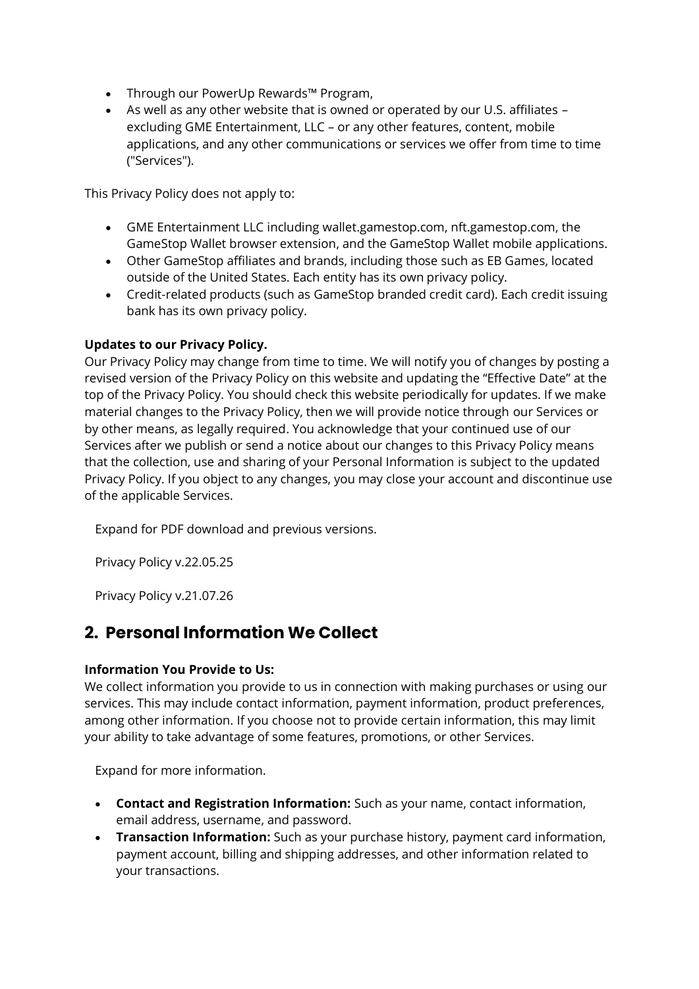- Through our PowerUp Rewards™ Program,
- As well as any other website that is owned or operated by our U.S. affiliates excluding GME Entertainment, LLC – or any other features, content, mobile applications, and any other communications or services we offer from time to time ("Services").

This Privacy Policy does not apply to:

- GME Entertainment LLC including wallet.gamestop.com, nft.gamestop.com, the GameStop Wallet browser extension, and the GameStop Wallet mobile applications.
- Other GameStop affiliates and brands, including those such as EB Games, located outside of the United States. Each entity has its own privacy policy.
- Credit-related products (such as GameStop branded credit card). Each credit issuing bank has its own privacy policy.

### **Updates to our Privacy Policy.**

Our Privacy Policy may change from time to time. We will notify you of changes by posting a revised version of the Privacy Policy on this website and updating the "Effective Date" at the top of the Privacy Policy. You should check this website periodically for updates. If we make material changes to the Privacy Policy, then we will provide notice through our Services or by other means, as legally required. You acknowledge that your continued use of our Services after we publish or send a notice about our changes to this Privacy Policy means that the collection, use and sharing of your Personal Information is subject to the updated Privacy Policy. If you object to any changes, you may close your account and discontinue use of the applicable Services.

Expand for PDF download and previous versions.

Privacy Policy v.22.05.25

Privacy Policy v.21.07.26

### **2. Personal Information We Collect**

### **Information You Provide to Us:**

We collect information you provide to us in connection with making purchases or using our services. This may include contact information, payment information, product preferences, among other information. If you choose not to provide certain information, this may limit your ability to take advantage of some features, promotions, or other Services.

- **Contact and Registration Information:** Such as your name, contact information, email address, username, and password.
- **Transaction Information:** Such as your purchase history, payment card information, payment account, billing and shipping addresses, and other information related to your transactions.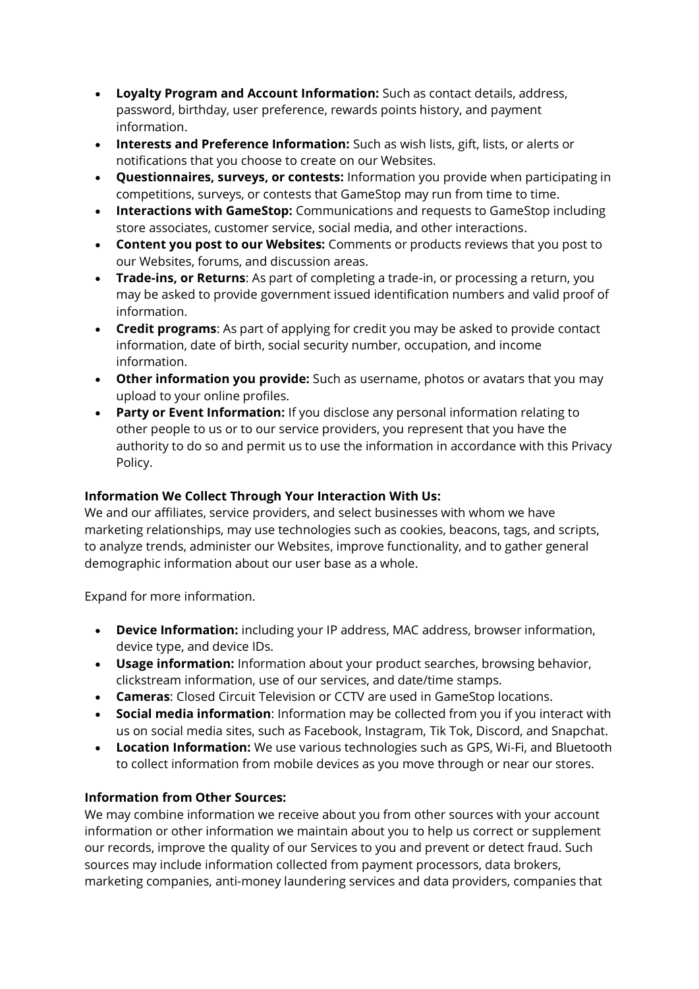- **Loyalty Program and Account Information:** Such as contact details, address, password, birthday, user preference, rewards points history, and payment information.
- **Interests and Preference Information:** Such as wish lists, gift, lists, or alerts or notifications that you choose to create on our Websites.
- **Questionnaires, surveys, or contests:** Information you provide when participating in competitions, surveys, or contests that GameStop may run from time to time.
- **Interactions with GameStop:** Communications and requests to GameStop including store associates, customer service, social media, and other interactions.
- **Content you post to our Websites:** Comments or products reviews that you post to our Websites, forums, and discussion areas.
- **Trade-ins, or Returns**: As part of completing a trade-in, or processing a return, you may be asked to provide government issued identification numbers and valid proof of information.
- **Credit programs**: As part of applying for credit you may be asked to provide contact information, date of birth, social security number, occupation, and income information.
- **Other information you provide:** Such as username, photos or avatars that you may upload to your online profiles.
- **Party or Event Information:** If you disclose any personal information relating to other people to us or to our service providers, you represent that you have the authority to do so and permit us to use the information in accordance with this Privacy Policy.

### **Information We Collect Through Your Interaction With Us:**

We and our affiliates, service providers, and select businesses with whom we have marketing relationships, may use technologies such as cookies, beacons, tags, and scripts, to analyze trends, administer our Websites, improve functionality, and to gather general demographic information about our user base as a whole.

Expand for more information.

- **Device Information:** including your IP address, MAC address, browser information, device type, and device IDs.
- **Usage information:** Information about your product searches, browsing behavior, clickstream information, use of our services, and date/time stamps.
- **Cameras**: Closed Circuit Television or CCTV are used in GameStop locations.
- **Social media information**: Information may be collected from you if you interact with us on social media sites, such as Facebook, Instagram, Tik Tok, Discord, and Snapchat.
- **Location Information:** We use various technologies such as GPS, Wi-Fi, and Bluetooth to collect information from mobile devices as you move through or near our stores.

### **Information from Other Sources:**

We may combine information we receive about you from other sources with your account information or other information we maintain about you to help us correct or supplement our records, improve the quality of our Services to you and prevent or detect fraud. Such sources may include information collected from payment processors, data brokers, marketing companies, anti-money laundering services and data providers, companies that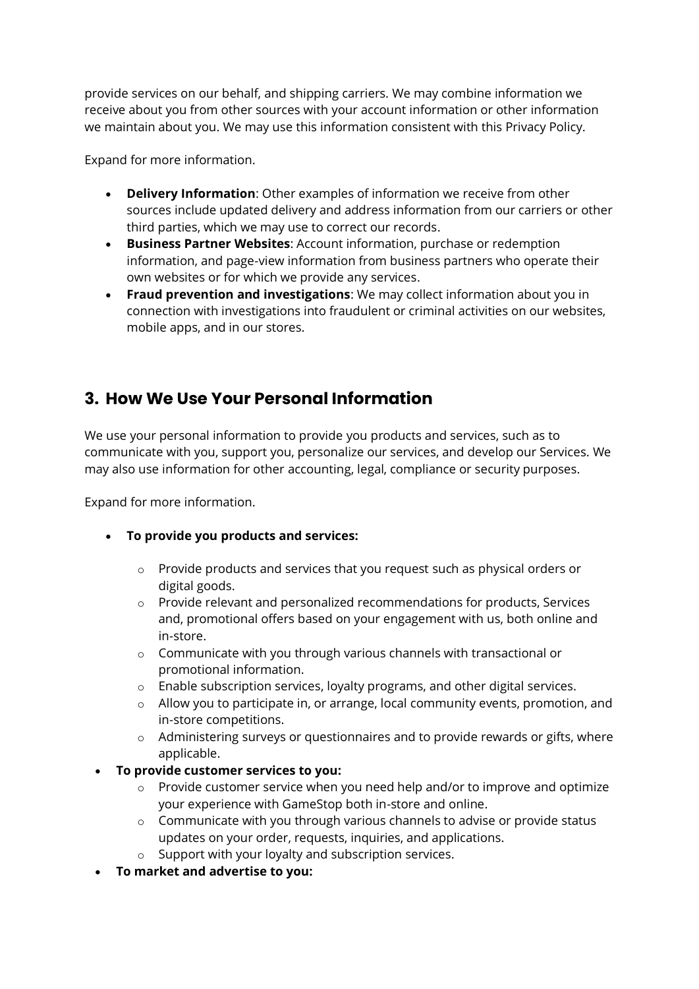provide services on our behalf, and shipping carriers. We may combine information we receive about you from other sources with your account information or other information we maintain about you. We may use this information consistent with this Privacy Policy.

Expand for more information.

- **Delivery Information**: Other examples of information we receive from other sources include updated delivery and address information from our carriers or other third parties, which we may use to correct our records.
- **Business Partner Websites**: Account information, purchase or redemption information, and page-view information from business partners who operate their own websites or for which we provide any services.
- **Fraud prevention and investigations**: We may collect information about you in connection with investigations into fraudulent or criminal activities on our websites, mobile apps, and in our stores.

### **3. How We Use Your Personal Information**

We use your personal information to provide you products and services, such as to communicate with you, support you, personalize our services, and develop our Services. We may also use information for other accounting, legal, compliance or security purposes.

- **To provide you products and services:**
	- o Provide products and services that you request such as physical orders or digital goods.
	- $\circ$  Provide relevant and personalized recommendations for products, Services and, promotional offers based on your engagement with us, both online and in-store.
	- o Communicate with you through various channels with transactional or promotional information.
	- o Enable subscription services, loyalty programs, and other digital services.
	- o Allow you to participate in, or arrange, local community events, promotion, and in-store competitions.
	- o Administering surveys or questionnaires and to provide rewards or gifts, where applicable.
- **To provide customer services to you:**
	- o Provide customer service when you need help and/or to improve and optimize your experience with GameStop both in-store and online.
	- o Communicate with you through various channels to advise or provide status updates on your order, requests, inquiries, and applications.
	- o Support with your loyalty and subscription services.
- **To market and advertise to you:**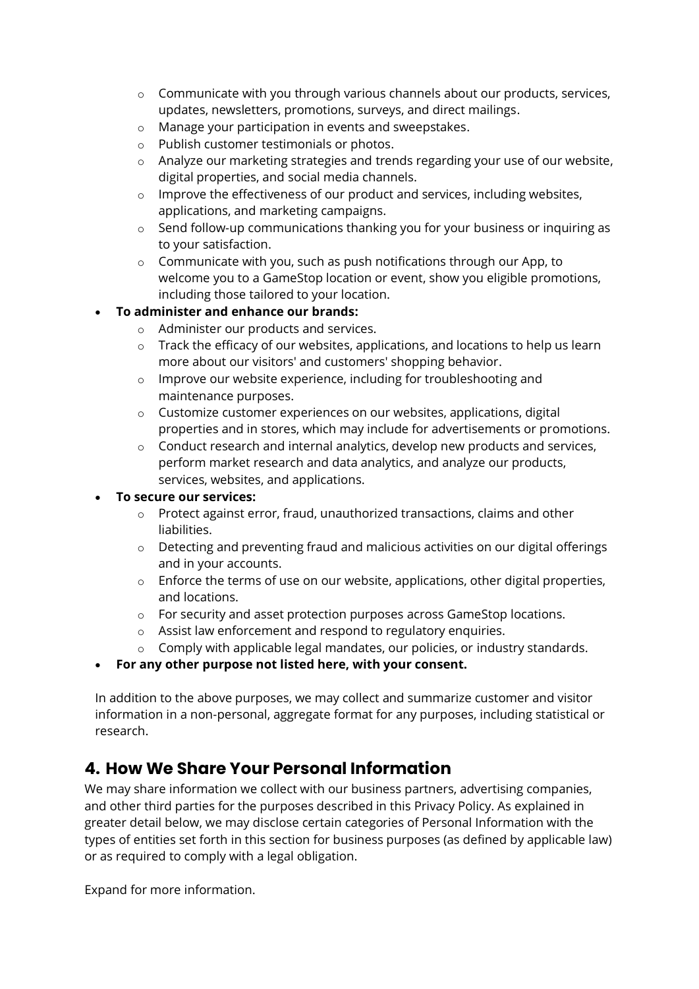- o Communicate with you through various channels about our products, services, updates, newsletters, promotions, surveys, and direct mailings.
- o Manage your participation in events and sweepstakes.
- o Publish customer testimonials or photos.
- o Analyze our marketing strategies and trends regarding your use of our website, digital properties, and social media channels.
- $\circ$  Improve the effectiveness of our product and services, including websites, applications, and marketing campaigns.
- o Send follow-up communications thanking you for your business or inquiring as to your satisfaction.
- o Communicate with you, such as push notifications through our App, to welcome you to a GameStop location or event, show you eligible promotions, including those tailored to your location.

### • **To administer and enhance our brands:**

- o Administer our products and services.
- $\circ$  Track the efficacy of our websites, applications, and locations to help us learn more about our visitors' and customers' shopping behavior.
- o Improve our website experience, including for troubleshooting and maintenance purposes.
- o Customize customer experiences on our websites, applications, digital properties and in stores, which may include for advertisements or promotions.
- $\circ$  Conduct research and internal analytics, develop new products and services, perform market research and data analytics, and analyze our products, services, websites, and applications.

### • **To secure our services:**

- o Protect against error, fraud, unauthorized transactions, claims and other liabilities.
- $\circ$  Detecting and preventing fraud and malicious activities on our digital offerings and in your accounts.
- $\circ$  Enforce the terms of use on our website, applications, other digital properties, and locations.
- o For security and asset protection purposes across GameStop locations.
- o Assist law enforcement and respond to regulatory enquiries.
- o Comply with applicable legal mandates, our policies, or industry standards.

### • **For any other purpose not listed here, with your consent.**

In addition to the above purposes, we may collect and summarize customer and visitor information in a non-personal, aggregate format for any purposes, including statistical or research.

### **4. How We Share Your Personal Information**

We may share information we collect with our business partners, advertising companies, and other third parties for the purposes described in this Privacy Policy. As explained in greater detail below, we may disclose certain categories of Personal Information with the types of entities set forth in this section for business purposes (as defined by applicable law) or as required to comply with a legal obligation.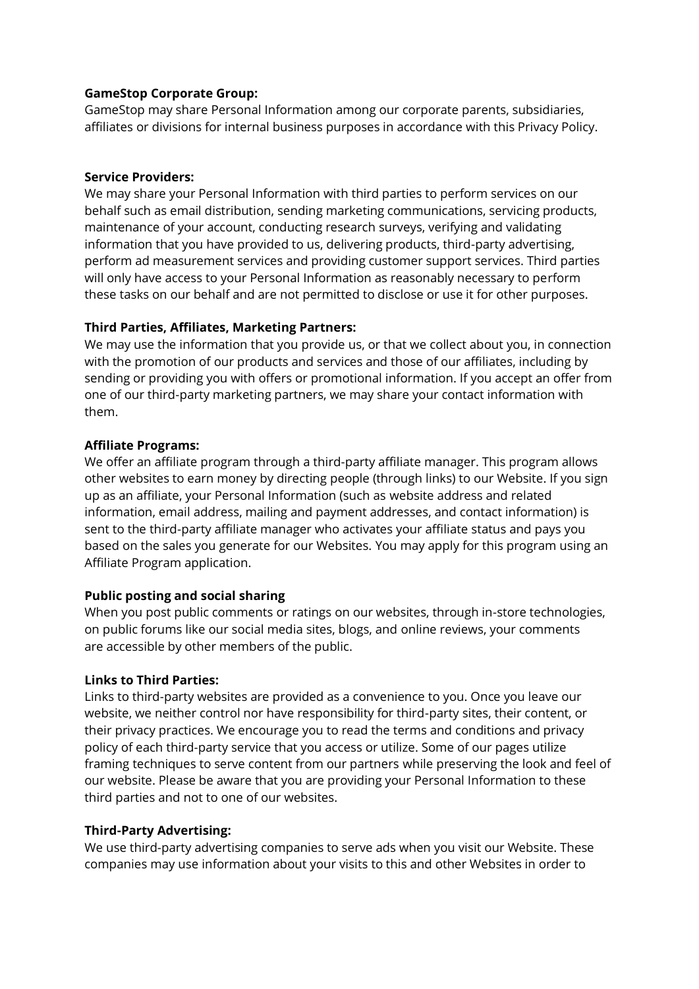### **GameStop Corporate Group:**

GameStop may share Personal Information among our corporate parents, subsidiaries, affiliates or divisions for internal business purposes in accordance with this Privacy Policy.

### **Service Providers:**

We may share your Personal Information with third parties to perform services on our behalf such as email distribution, sending marketing communications, servicing products, maintenance of your account, conducting research surveys, verifying and validating information that you have provided to us, delivering products, third-party advertising, perform ad measurement services and providing customer support services. Third parties will only have access to your Personal Information as reasonably necessary to perform these tasks on our behalf and are not permitted to disclose or use it for other purposes.

### **Third Parties, Affiliates, Marketing Partners:**

We may use the information that you provide us, or that we collect about you, in connection with the promotion of our products and services and those of our affiliates, including by sending or providing you with offers or promotional information. If you accept an offer from one of our third-party marketing partners, we may share your contact information with them.

### **Affiliate Programs:**

We offer an affiliate program through a third-party affiliate manager. This program allows other websites to earn money by directing people (through links) to our Website. If you sign up as an affiliate, your Personal Information (such as website address and related information, email address, mailing and payment addresses, and contact information) is sent to the third-party affiliate manager who activates your affiliate status and pays you based on the sales you generate for our Websites. You may apply for this program using an Affiliate Program application.

### **Public posting and social sharing**

When you post public comments or ratings on our websites, through in-store technologies, on public forums like our social media sites, blogs, and online reviews, your comments are accessible by other members of the public.

### **Links to Third Parties:**

Links to third-party websites are provided as a convenience to you. Once you leave our website, we neither control nor have responsibility for third-party sites, their content, or their privacy practices. We encourage you to read the terms and conditions and privacy policy of each third-party service that you access or utilize. Some of our pages utilize framing techniques to serve content from our partners while preserving the look and feel of our website. Please be aware that you are providing your Personal Information to these third parties and not to one of our websites.

### **Third-Party Advertising:**

We use third-party advertising companies to serve ads when you visit our Website. These companies may use information about your visits to this and other Websites in order to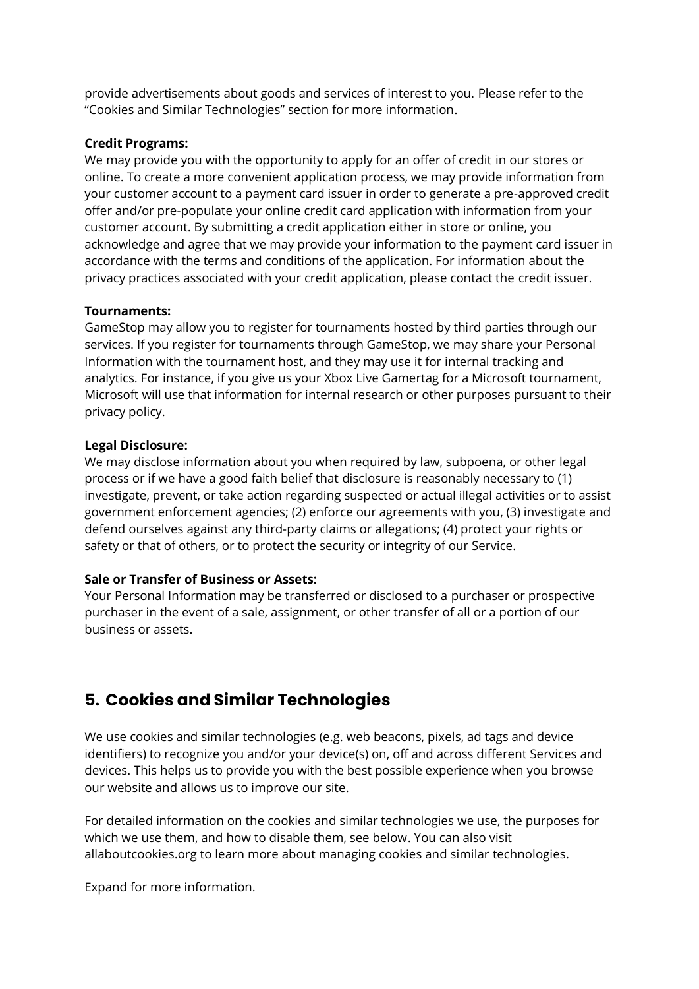provide advertisements about goods and services of interest to you. Please refer to the "Cookies and Similar Technologies" section for more information.

#### **Credit Programs:**

We may provide you with the opportunity to apply for an offer of credit in our stores or online. To create a more convenient application process, we may provide information from your customer account to a payment card issuer in order to generate a pre-approved credit offer and/or pre-populate your online credit card application with information from your customer account. By submitting a credit application either in store or online, you acknowledge and agree that we may provide your information to the payment card issuer in accordance with the terms and conditions of the application. For information about the privacy practices associated with your credit application, please contact the credit issuer.

#### **Tournaments:**

GameStop may allow you to register for tournaments hosted by third parties through our services. If you register for tournaments through GameStop, we may share your Personal Information with the tournament host, and they may use it for internal tracking and analytics. For instance, if you give us your Xbox Live Gamertag for a Microsoft tournament, Microsoft will use that information for internal research or other purposes pursuant to their privacy policy.

#### **Legal Disclosure:**

We may disclose information about you when required by law, subpoena, or other legal process or if we have a good faith belief that disclosure is reasonably necessary to (1) investigate, prevent, or take action regarding suspected or actual illegal activities or to assist government enforcement agencies; (2) enforce our agreements with you, (3) investigate and defend ourselves against any third-party claims or allegations; (4) protect your rights or safety or that of others, or to protect the security or integrity of our Service.

### **Sale or Transfer of Business or Assets:**

Your Personal Information may be transferred or disclosed to a purchaser or prospective purchaser in the event of a sale, assignment, or other transfer of all or a portion of our business or assets.

### **5. Cookies and Similar Technologies**

We use cookies and similar technologies (e.g. web beacons, pixels, ad tags and device identifiers) to recognize you and/or your device(s) on, off and across different Services and devices. This helps us to provide you with the best possible experience when you browse our website and allows us to improve our site.

For detailed information on the cookies and similar technologies we use, the purposes for which we use them, and how to disable them, see below. You can also visit allaboutcookies.org to learn more about managing cookies and similar technologies.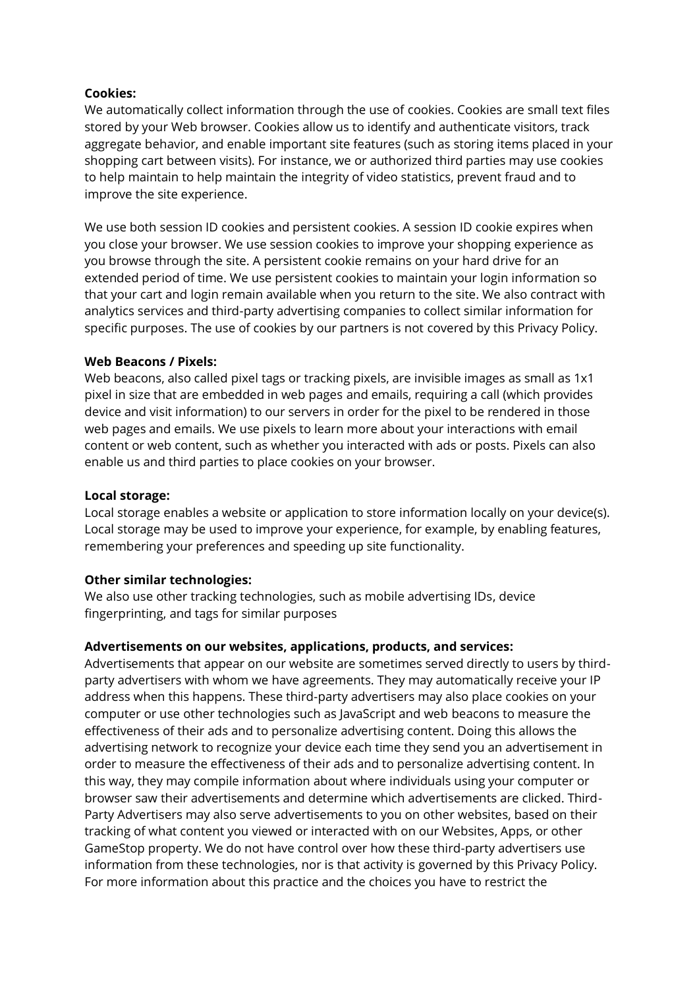### **Cookies:**

We automatically collect information through the use of cookies. Cookies are small text files stored by your Web browser. Cookies allow us to identify and authenticate visitors, track aggregate behavior, and enable important site features (such as storing items placed in your shopping cart between visits). For instance, we or authorized third parties may use cookies to help maintain to help maintain the integrity of video statistics, prevent fraud and to improve the site experience.

We use both session ID cookies and persistent cookies. A session ID cookie expires when you close your browser. We use session cookies to improve your shopping experience as you browse through the site. A persistent cookie remains on your hard drive for an extended period of time. We use persistent cookies to maintain your login information so that your cart and login remain available when you return to the site. We also contract with analytics services and third-party advertising companies to collect similar information for specific purposes. The use of cookies by our partners is not covered by this Privacy Policy.

### **Web Beacons / Pixels:**

Web beacons, also called pixel tags or tracking pixels, are invisible images as small as 1x1 pixel in size that are embedded in web pages and emails, requiring a call (which provides device and visit information) to our servers in order for the pixel to be rendered in those web pages and emails. We use pixels to learn more about your interactions with email content or web content, such as whether you interacted with ads or posts. Pixels can also enable us and third parties to place cookies on your browser.

### **Local storage:**

Local storage enables a website or application to store information locally on your device(s). Local storage may be used to improve your experience, for example, by enabling features, remembering your preferences and speeding up site functionality.

### **Other similar technologies:**

We also use other tracking technologies, such as mobile advertising IDs, device fingerprinting, and tags for similar purposes

### **Advertisements on our websites, applications, products, and services:**

Advertisements that appear on our website are sometimes served directly to users by thirdparty advertisers with whom we have agreements. They may automatically receive your IP address when this happens. These third-party advertisers may also place cookies on your computer or use other technologies such as JavaScript and web beacons to measure the effectiveness of their ads and to personalize advertising content. Doing this allows the advertising network to recognize your device each time they send you an advertisement in order to measure the effectiveness of their ads and to personalize advertising content. In this way, they may compile information about where individuals using your computer or browser saw their advertisements and determine which advertisements are clicked. Third-Party Advertisers may also serve advertisements to you on other websites, based on their tracking of what content you viewed or interacted with on our Websites, Apps, or other GameStop property. We do not have control over how these third-party advertisers use information from these technologies, nor is that activity is governed by this Privacy Policy. For more information about this practice and the choices you have to restrict the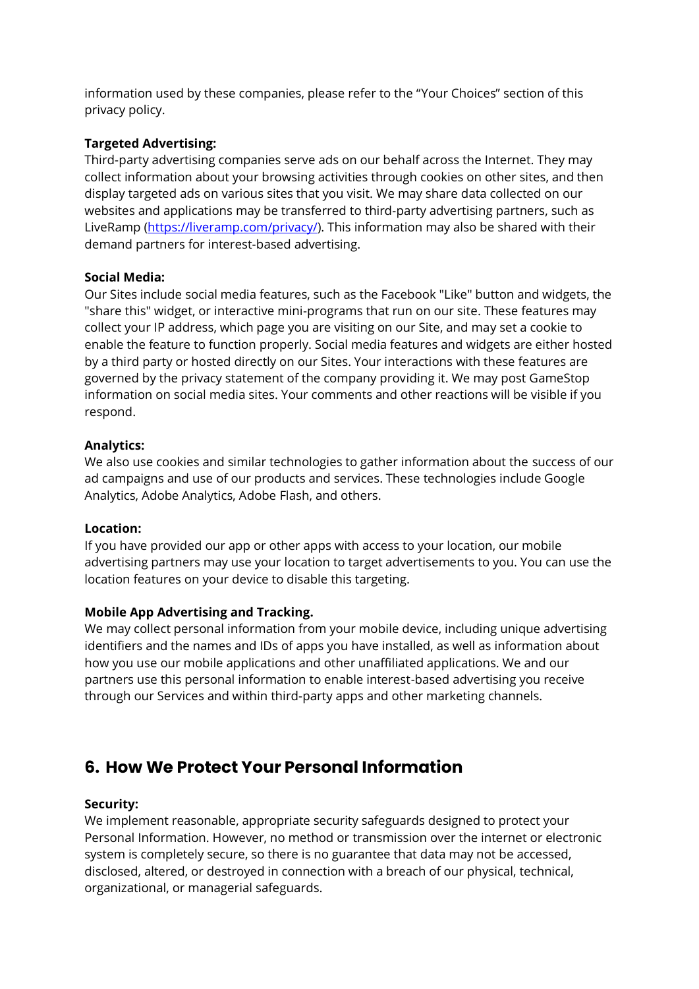information used by these companies, please refer to the "Your Choices" section of this privacy policy.

### **Targeted Advertising:**

Third-party advertising companies serve ads on our behalf across the Internet. They may collect information about your browsing activities through cookies on other sites, and then display targeted ads on various sites that you visit. We may share data collected on our websites and applications may be transferred to third-party advertising partners, such as LiveRamp [\(https://liveramp.com/privacy/\)](https://liveramp.com/privacy/). This information may also be shared with their demand partners for interest-based advertising.

### **Social Media:**

Our Sites include social media features, such as the Facebook "Like" button and widgets, the "share this" widget, or interactive mini-programs that run on our site. These features may collect your IP address, which page you are visiting on our Site, and may set a cookie to enable the feature to function properly. Social media features and widgets are either hosted by a third party or hosted directly on our Sites. Your interactions with these features are governed by the privacy statement of the company providing it. We may post GameStop information on social media sites. Your comments and other reactions will be visible if you respond.

### **Analytics:**

We also use cookies and similar technologies to gather information about the success of our ad campaigns and use of our products and services. These technologies include Google Analytics, Adobe Analytics, Adobe Flash, and others.

### **Location:**

If you have provided our app or other apps with access to your location, our mobile advertising partners may use your location to target advertisements to you. You can use the location features on your device to disable this targeting.

### **Mobile App Advertising and Tracking.**

We may collect personal information from your mobile device, including unique advertising identifiers and the names and IDs of apps you have installed, as well as information about how you use our mobile applications and other unaffiliated applications. We and our partners use this personal information to enable interest-based advertising you receive through our Services and within third-party apps and other marketing channels.

### **6. How We Protect Your Personal Information**

### **Security:**

We implement reasonable, appropriate security safeguards designed to protect your Personal Information. However, no method or transmission over the internet or electronic system is completely secure, so there is no guarantee that data may not be accessed, disclosed, altered, or destroyed in connection with a breach of our physical, technical, organizational, or managerial safeguards.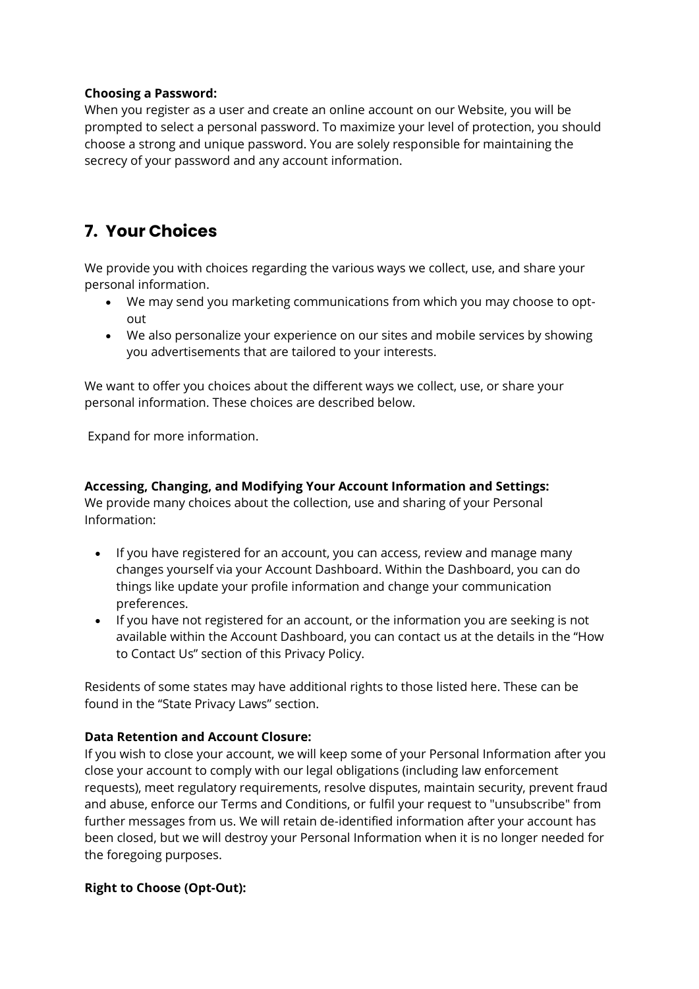### **Choosing a Password:**

When you register as a user and create an online account on our Website, you will be prompted to select a personal password. To maximize your level of protection, you should choose a strong and unique password. You are solely responsible for maintaining the secrecy of your password and any account information.

# **7. Your Choices**

We provide you with choices regarding the various ways we collect, use, and share your personal information.

- We may send you marketing communications from which you may choose to optout
- We also personalize your experience on our sites and mobile services by showing you advertisements that are tailored to your interests.

We want to offer you choices about the different ways we collect, use, or share your personal information. These choices are described below.

Expand for more information.

**Accessing, Changing, and Modifying Your Account Information and Settings:** We provide many choices about the collection, use and sharing of your Personal Information:

- If you have registered for an account, you can access, review and manage many changes yourself via your Account Dashboard. Within the Dashboard, you can do things like update your profile information and change your communication preferences.
- If you have not registered for an account, or the information you are seeking is not available within the Account Dashboard, you can contact us at the details in the "How to Contact Us" section of this Privacy Policy.

Residents of some states may have additional rights to those listed here. These can be found in the "State Privacy Laws" section.

### **Data Retention and Account Closure:**

If you wish to close your account, we will keep some of your Personal Information after you close your account to comply with our legal obligations (including law enforcement requests), meet regulatory requirements, resolve disputes, maintain security, prevent fraud and abuse, enforce our Terms and Conditions, or fulfil your request to "unsubscribe" from further messages from us. We will retain de-identified information after your account has been closed, but we will destroy your Personal Information when it is no longer needed for the foregoing purposes.

### **Right to Choose (Opt-Out):**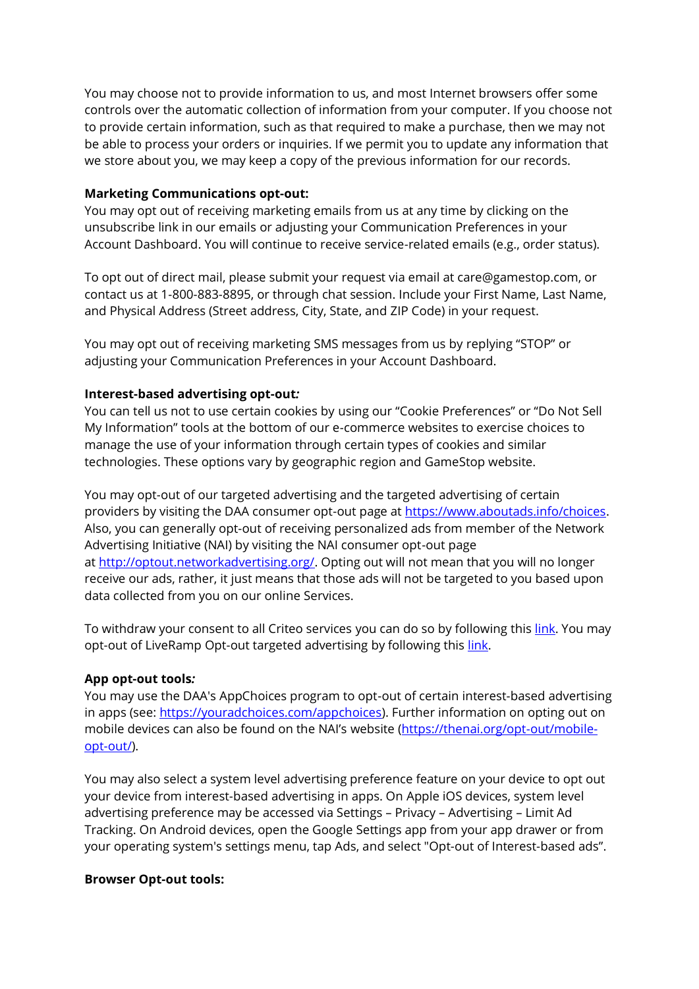You may choose not to provide information to us, and most Internet browsers offer some controls over the automatic collection of information from your computer. If you choose not to provide certain information, such as that required to make a purchase, then we may not be able to process your orders or inquiries. If we permit you to update any information that we store about you, we may keep a copy of the previous information for our records.

### **Marketing Communications opt-out:**

You may opt out of receiving marketing emails from us at any time by clicking on the unsubscribe link in our emails or adjusting your Communication Preferences in your Account Dashboard. You will continue to receive service-related emails (e.g., order status).

To opt out of direct mail, please submit your request via email at care@gamestop.com, or contact us at 1-800-883-8895, or through chat session. Include your First Name, Last Name, and Physical Address (Street address, City, State, and ZIP Code) in your request.

You may opt out of receiving marketing SMS messages from us by replying "STOP" or adjusting your Communication Preferences in your Account Dashboard.

### **Interest-based advertising opt-out***:*

You can tell us not to use certain cookies by using our "Cookie Preferences" or "Do Not Sell My Information" tools at the bottom of our e-commerce websites to exercise choices to manage the use of your information through certain types of cookies and similar technologies. These options vary by geographic region and GameStop website.

You may opt-out of our targeted advertising and the targeted advertising of certain providers by visiting the DAA consumer opt-out page at [https://www.aboutads.info/choices.](https://www.aboutads.info/choices) Also, you can generally opt-out of receiving personalized ads from member of the Network Advertising Initiative (NAI) by visiting the NAI consumer opt-out page at [http://optout.networkadvertising.org/.](http://optout.networkadvertising.org/) Opting out will not mean that you will no longer receive our ads, rather, it just means that those ads will not be targeted to you based upon data collected from you on our online Services.

To withdraw your consent to all Criteo services you can do so by following thi[s link.](https://www.criteo.com/privacy/disable-criteo-services-on-internet-browsers/) You may opt-out of LiveRamp Opt-out targeted advertising by following this [link.](https://liveramp.com/opt_out/)

### **App opt-out tools***:*

You may use the DAA's AppChoices program to opt-out of certain interest-based advertising in apps (see: [https://youradchoices.com/appchoices\)](https://youradchoices.com/appchoices). Further information on opting out on mobile devices can also be found on the NAI's website [\(https://thenai.org/opt-out/mobile](https://thenai.org/opt-out/mobile-opt-out/)[opt-out/\)](https://thenai.org/opt-out/mobile-opt-out/).

You may also select a system level advertising preference feature on your device to opt out your device from interest-based advertising in apps. On Apple iOS devices, system level advertising preference may be accessed via Settings – Privacy – Advertising – Limit Ad Tracking. On Android devices, open the Google Settings app from your app drawer or from your operating system's settings menu, tap Ads, and select "Opt-out of Interest-based ads".

### **Browser Opt-out tools:**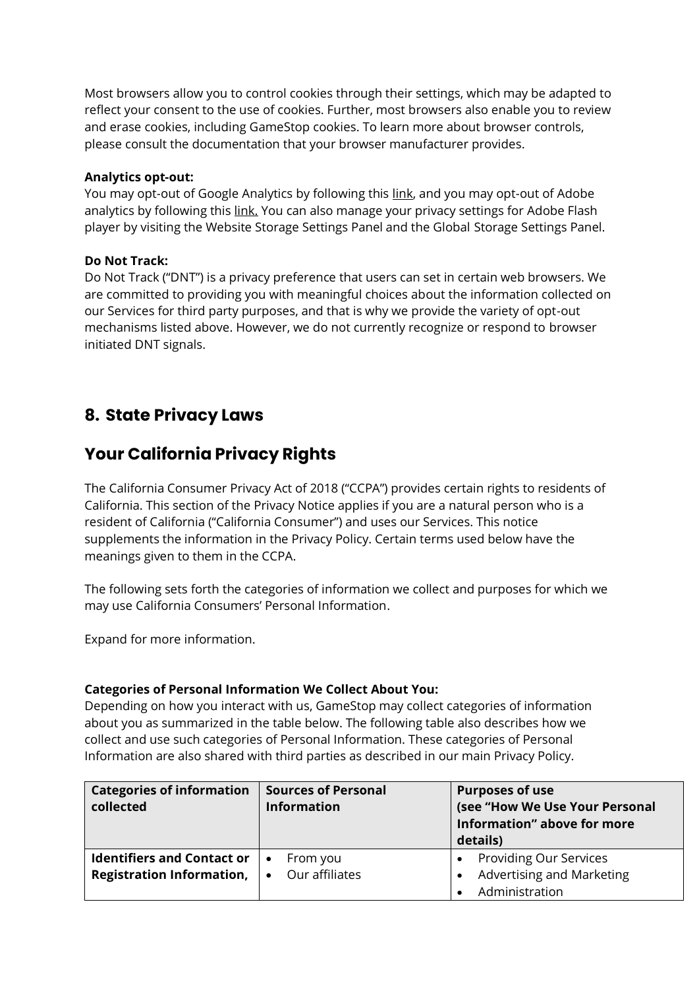Most browsers allow you to control cookies through their settings, which may be adapted to reflect your consent to the use of cookies. Further, most browsers also enable you to review and erase cookies, including GameStop cookies. To learn more about browser controls, please consult the documentation that your browser manufacturer provides.

### **Analytics opt-out:**

You may opt-out of Google Analytics by following this [link,](https://tools.google.com/dlpage/gaoptout/) and you may opt-out of Adobe analytics by following this [link.](https://www.adobe.com/privacy/opt-out.html) You can also manage your privacy settings for Adobe Flash player by visiting the Website Storage Settings Panel and the Global Storage Settings Panel.

### **Do Not Track:**

Do Not Track ("DNT") is a privacy preference that users can set in certain web browsers. We are committed to providing you with meaningful choices about the information collected on our Services for third party purposes, and that is why we provide the variety of opt-out mechanisms listed above. However, we do not currently recognize or respond to browser initiated DNT signals.

## **8. State Privacy Laws**

## **Your California Privacy Rights**

The California Consumer Privacy Act of 2018 ("CCPA") provides certain rights to residents of California. This section of the Privacy Notice applies if you are a natural person who is a resident of California ("California Consumer") and uses our Services. This notice supplements the information in the Privacy Policy. Certain terms used below have the meanings given to them in the CCPA.

The following sets forth the categories of information we collect and purposes for which we may use California Consumers' Personal Information.

Expand for more information.

### **Categories of Personal Information We Collect About You:**

Depending on how you interact with us, GameStop may collect categories of information about you as summarized in the table below. The following table also describes how we collect and use such categories of Personal Information. These categories of Personal Information are also shared with third parties as described in our main Privacy Policy.

| <b>Categories of information</b><br>collected                         | <b>Sources of Personal</b><br><b>Information</b> | <b>Purposes of use</b><br>(see "How We Use Your Personal<br>Information" above for more<br>details) |  |
|-----------------------------------------------------------------------|--------------------------------------------------|-----------------------------------------------------------------------------------------------------|--|
| <b>Identifiers and Contact or</b><br><b>Registration Information,</b> | From you<br>Our affiliates<br>$\bullet$          | Providing Our Services<br>Advertising and Marketing<br>Administration                               |  |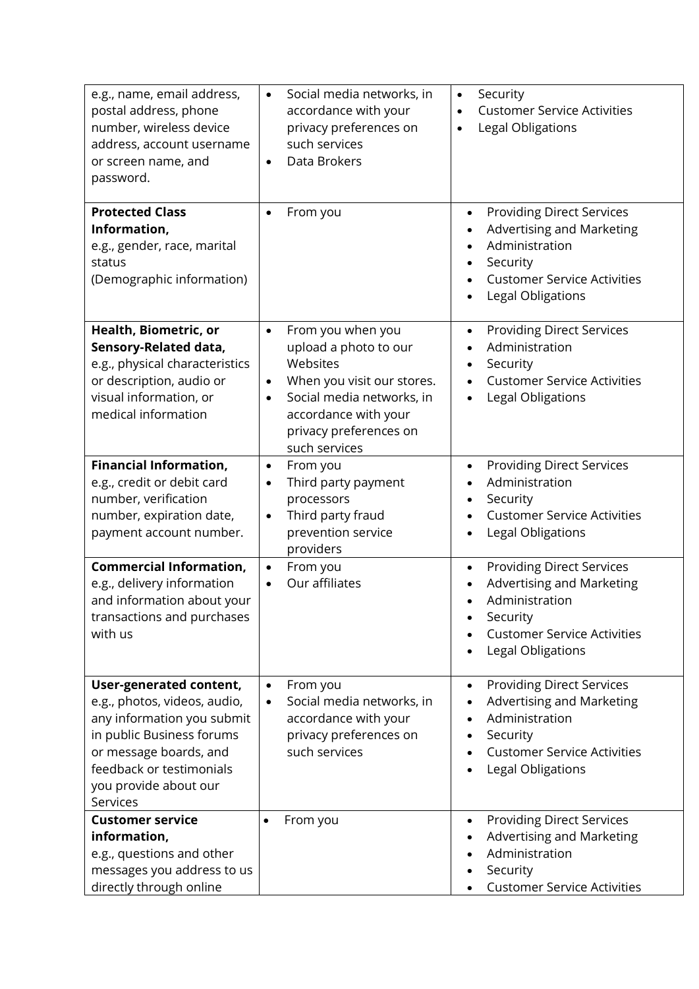| e.g., name, email address,<br>postal address, phone<br>number, wireless device<br>address, account username<br>or screen name, and<br>password.                                                               | Social media networks, in<br>$\bullet$<br>accordance with your<br>privacy preferences on<br>such services<br>Data Brokers<br>$\bullet$                                                                                      | Security<br>$\bullet$<br><b>Customer Service Activities</b><br>Legal Obligations<br>$\bullet$                                                                                           |  |  |
|---------------------------------------------------------------------------------------------------------------------------------------------------------------------------------------------------------------|-----------------------------------------------------------------------------------------------------------------------------------------------------------------------------------------------------------------------------|-----------------------------------------------------------------------------------------------------------------------------------------------------------------------------------------|--|--|
| <b>Protected Class</b><br>Information,<br>e.g., gender, race, marital<br>status<br>(Demographic information)                                                                                                  | From you<br>$\bullet$                                                                                                                                                                                                       | <b>Providing Direct Services</b><br>$\bullet$<br>Advertising and Marketing<br>Administration<br>Security<br><b>Customer Service Activities</b><br>Legal Obligations                     |  |  |
| Health, Biometric, or<br>Sensory-Related data,<br>e.g., physical characteristics<br>or description, audio or<br>visual information, or<br>medical information                                                 | From you when you<br>$\bullet$<br>upload a photo to our<br>Websites<br>When you visit our stores.<br>$\bullet$<br>Social media networks, in<br>$\bullet$<br>accordance with your<br>privacy preferences on<br>such services | <b>Providing Direct Services</b><br>$\bullet$<br>Administration<br>Security<br><b>Customer Service Activities</b><br>Legal Obligations<br>$\bullet$                                     |  |  |
| <b>Financial Information,</b><br>e.g., credit or debit card<br>number, verification<br>number, expiration date,<br>payment account number.                                                                    | From you<br>$\bullet$<br>Third party payment<br>$\bullet$<br>processors<br>Third party fraud<br>$\bullet$<br>prevention service<br>providers                                                                                | <b>Providing Direct Services</b><br>Administration<br>Security<br><b>Customer Service Activities</b><br>Legal Obligations                                                               |  |  |
| <b>Commercial Information,</b><br>e.g., delivery information<br>and information about your<br>transactions and purchases<br>with us                                                                           | From you<br>$\bullet$<br>Our affiliates<br>$\bullet$                                                                                                                                                                        | <b>Providing Direct Services</b><br>$\bullet$<br><b>Advertising and Marketing</b><br>Administration<br>$\bullet$<br>Security<br><b>Customer Service Activities</b><br>Legal Obligations |  |  |
| User-generated content,<br>e.g., photos, videos, audio,<br>any information you submit<br>in public Business forums<br>or message boards, and<br>feedback or testimonials<br>you provide about our<br>Services | From you<br>$\bullet$<br>Social media networks, in<br>$\bullet$<br>accordance with your<br>privacy preferences on<br>such services                                                                                          | <b>Providing Direct Services</b><br>$\bullet$<br>Advertising and Marketing<br>Administration<br>Security<br><b>Customer Service Activities</b><br>Legal Obligations                     |  |  |
| <b>Customer service</b><br>information,<br>e.g., questions and other<br>messages you address to us<br>directly through online                                                                                 | From you<br>٠                                                                                                                                                                                                               | <b>Providing Direct Services</b><br>$\bullet$<br>Advertising and Marketing<br>Administration<br>Security<br><b>Customer Service Activities</b>                                          |  |  |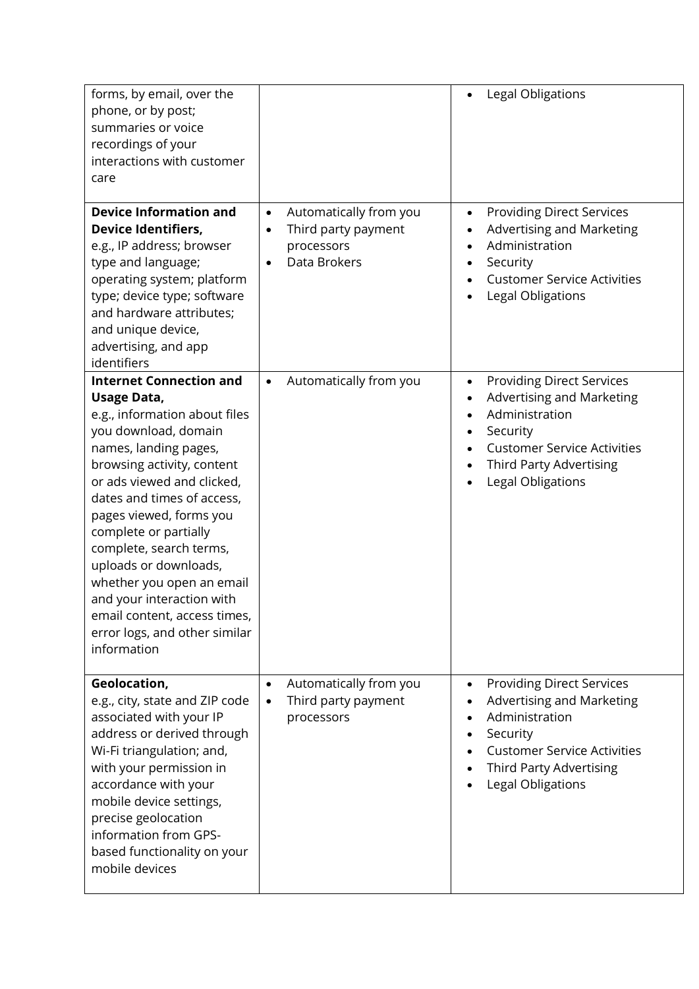| forms, by email, over the<br>phone, or by post;<br>summaries or voice<br>recordings of your<br>interactions with customer<br>care                                                                                                                                                                                                                                                                                                                                                  |                                                                                                       | Legal Obligations                                                                                                                                                                                           |
|------------------------------------------------------------------------------------------------------------------------------------------------------------------------------------------------------------------------------------------------------------------------------------------------------------------------------------------------------------------------------------------------------------------------------------------------------------------------------------|-------------------------------------------------------------------------------------------------------|-------------------------------------------------------------------------------------------------------------------------------------------------------------------------------------------------------------|
| <b>Device Information and</b><br><b>Device Identifiers,</b><br>e.g., IP address; browser<br>type and language;<br>operating system; platform<br>type; device type; software<br>and hardware attributes;<br>and unique device,<br>advertising, and app<br>identifiers                                                                                                                                                                                                               | Automatically from you<br>$\bullet$<br>Third party payment<br>processors<br>Data Brokers<br>$\bullet$ | <b>Providing Direct Services</b><br>$\bullet$<br>Advertising and Marketing<br>Administration<br>Security<br><b>Customer Service Activities</b><br>Legal Obligations                                         |
| <b>Internet Connection and</b><br><b>Usage Data,</b><br>e.g., information about files<br>you download, domain<br>names, landing pages,<br>browsing activity, content<br>or ads viewed and clicked,<br>dates and times of access,<br>pages viewed, forms you<br>complete or partially<br>complete, search terms,<br>uploads or downloads,<br>whether you open an email<br>and your interaction with<br>email content, access times,<br>error logs, and other similar<br>information | Automatically from you<br>$\bullet$                                                                   | <b>Providing Direct Services</b><br>$\bullet$<br>Advertising and Marketing<br>Administration<br>Security<br>$\bullet$<br><b>Customer Service Activities</b><br>Third Party Advertising<br>Legal Obligations |
| Geolocation,<br>e.g., city, state and ZIP code<br>associated with your IP<br>address or derived through<br>Wi-Fi triangulation; and,<br>with your permission in<br>accordance with your<br>mobile device settings,<br>precise geolocation<br>information from GPS-<br>based functionality on your<br>mobile devices                                                                                                                                                                | Automatically from you<br>$\bullet$<br>Third party payment<br>$\bullet$<br>processors                 | <b>Providing Direct Services</b><br>$\bullet$<br>Advertising and Marketing<br>Administration<br>Security<br><b>Customer Service Activities</b><br><b>Third Party Advertising</b><br>Legal Obligations       |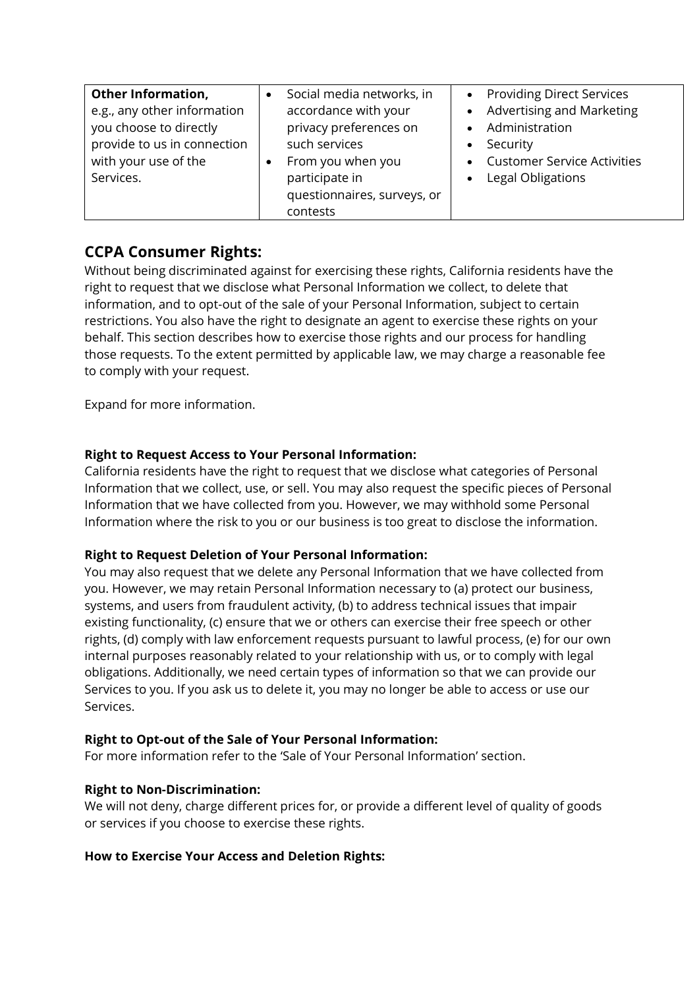| <b>Other Information,</b>   | Social media networks, in   | • Providing Direct Services    |
|-----------------------------|-----------------------------|--------------------------------|
| e.g., any other information | accordance with your        | • Advertising and Marketing    |
| you choose to directly      | privacy preferences on      | • Administration               |
| provide to us in connection | such services               | Security<br>$\bullet$          |
| with your use of the        | From you when you           | • Customer Service Activities  |
| Services.                   | participate in              | Legal Obligations<br>$\bullet$ |
|                             | questionnaires, surveys, or |                                |
|                             | contests                    |                                |

### **CCPA Consumer Rights:**

Without being discriminated against for exercising these rights, California residents have the right to request that we disclose what Personal Information we collect, to delete that information, and to opt-out of the sale of your Personal Information, subject to certain restrictions. You also have the right to designate an agent to exercise these rights on your behalf. This section describes how to exercise those rights and our process for handling those requests. To the extent permitted by applicable law, we may charge a reasonable fee to comply with your request.

Expand for more information.

### **Right to Request Access to Your Personal Information:**

California residents have the right to request that we disclose what categories of Personal Information that we collect, use, or sell. You may also request the specific pieces of Personal Information that we have collected from you. However, we may withhold some Personal Information where the risk to you or our business is too great to disclose the information.

### **Right to Request Deletion of Your Personal Information:**

You may also request that we delete any Personal Information that we have collected from you. However, we may retain Personal Information necessary to (a) protect our business, systems, and users from fraudulent activity, (b) to address technical issues that impair existing functionality, (c) ensure that we or others can exercise their free speech or other rights, (d) comply with law enforcement requests pursuant to lawful process, (e) for our own internal purposes reasonably related to your relationship with us, or to comply with legal obligations. Additionally, we need certain types of information so that we can provide our Services to you. If you ask us to delete it, you may no longer be able to access or use our Services.

### **Right to Opt-out of the Sale of Your Personal Information:**

For more information refer to the 'Sale of Your Personal Information' section.

### **Right to Non-Discrimination:**

We will not deny, charge different prices for, or provide a different level of quality of goods or services if you choose to exercise these rights.

### **How to Exercise Your Access and Deletion Rights:**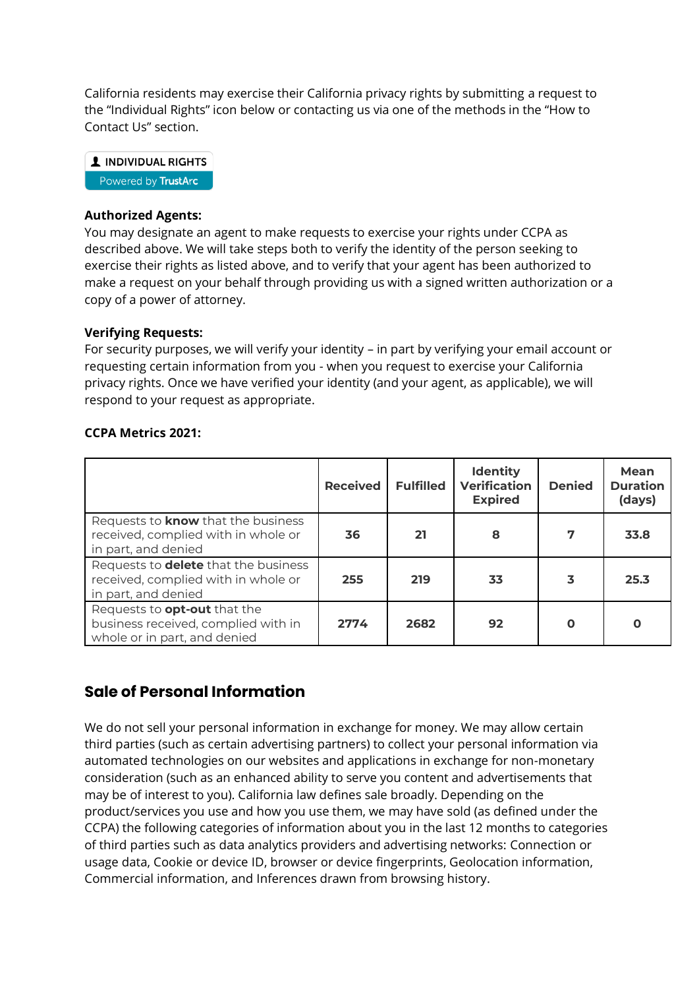California residents may exercise their California privacy rights by submitting a request to the "Individual Rights" icon below or contacting us via one of the methods in the "How to Contact Us" section.

1 INDIVIDUAL RIGHTS Powered by TrustArc

### **Authorized Agents:**

You may designate an agent to make requests to exercise your rights under CCPA as described above. We will take steps both to verify the identity of the person seeking to exercise their rights as listed above, and to verify that your agent has been authorized to make a request on your behalf through providing us with a signed written authorization or a copy of a power of attorney.

### **Verifying Requests:**

For security purposes, we will verify your identity – in part by verifying your email account or requesting certain information from you - when you request to exercise your California privacy rights. Once we have verified your identity (and your agent, as applicable), we will respond to your request as appropriate.

### **CCPA Metrics 2021:**

|                                                                                                            | <b>Received</b> | <b>Fulfilled</b> | <b>Identity</b><br><b>Verification</b><br><b>Expired</b> | <b>Denied</b> | Mean<br><b>Duration</b><br>(days) |
|------------------------------------------------------------------------------------------------------------|-----------------|------------------|----------------------------------------------------------|---------------|-----------------------------------|
| Requests to <b>know</b> that the business<br>received, complied with in whole or<br>in part, and denied    | 36              | 21               | 8                                                        | 7             | 33.8                              |
| Requests to <b>delete</b> that the business<br>received, complied with in whole or<br>in part, and denied  | 255             | 219              | 33                                                       | 3             | 25.3                              |
| Requests to <b>opt-out</b> that the<br>business received, complied with in<br>whole or in part, and denied | 2774            | 2682             | 92                                                       |               | O                                 |

### **Sale of Personal Information**

We do not sell your personal information in exchange for money. We may allow certain third parties (such as certain advertising partners) to collect your personal information via automated technologies on our websites and applications in exchange for non-monetary consideration (such as an enhanced ability to serve you content and advertisements that may be of interest to you). California law defines sale broadly. Depending on the product/services you use and how you use them, we may have sold (as defined under the CCPA) the following categories of information about you in the last 12 months to categories of third parties such as data analytics providers and advertising networks: Connection or usage data, Cookie or device ID, browser or device fingerprints, Geolocation information, Commercial information, and Inferences drawn from browsing history.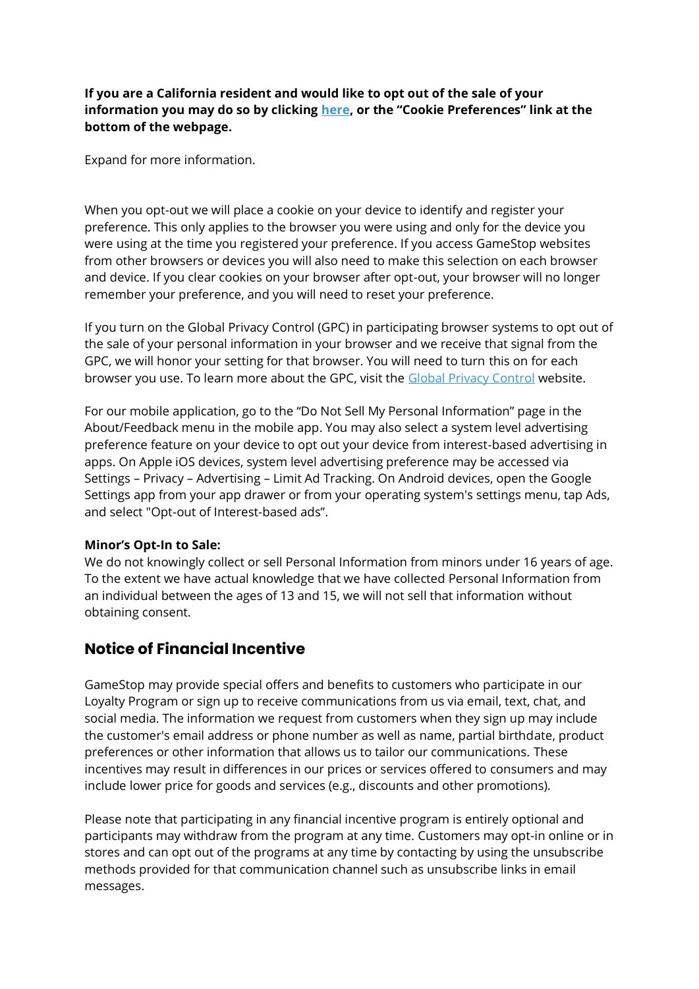**If you are a California resident and would like to opt out of the sale of your information you may do so by clicking here, or the "Cookie Preferences" link at the bottom of the webpage.**

Expand for more information.

When you opt-out we will place a cookie on your device to identify and register your preference. This only applies to the browser you were using and only for the device you were using at the time you registered your preference. If you access GameStop websites from other browsers or devices you will also need to make this selection on each browser and device. If you clear cookies on your browser after opt-out, your browser will no longer remember your preference, and you will need to reset your preference.

If you turn on the Global Privacy Control (GPC) in participating browser systems to opt out of the sale of your personal information in your browser and we receive that signal from the GPC, we will honor your setting for that browser. You will need to turn this on for each browser you use. To learn more about the GPC, visit the [Global Privacy Control](http://www.globalprivacycontrol.org/) website.

For our mobile application, go to the "Do Not Sell My Personal Information" page in the About/Feedback menu in the mobile app. You may also select a system level advertising preference feature on your device to opt out your device from interest-based advertising in apps. On Apple iOS devices, system level advertising preference may be accessed via Settings – Privacy – Advertising – Limit Ad Tracking. On Android devices, open the Google Settings app from your app drawer or from your operating system's settings menu, tap Ads, and select "Opt-out of Interest-based ads".

### **Minor's Opt-In to Sale:**

We do not knowingly collect or sell Personal Information from minors under 16 years of age. To the extent we have actual knowledge that we have collected Personal Information from an individual between the ages of 13 and 15, we will not sell that information without obtaining consent.

### **Notice of Financial Incentive**

GameStop may provide special offers and benefits to customers who participate in our Loyalty Program or sign up to receive communications from us via email, text, chat, and social media. The information we request from customers when they sign up may include the customer's email address or phone number as well as name, partial birthdate, product preferences or other information that allows us to tailor our communications. These incentives may result in differences in our prices or services offered to consumers and may include lower price for goods and services (e.g., discounts and other promotions).

Please note that participating in any financial incentive program is entirely optional and participants may withdraw from the program at any time. Customers may opt-in online or in stores and can opt out of the programs at any time by contacting by using the unsubscribe methods provided for that communication channel such as unsubscribe links in email messages.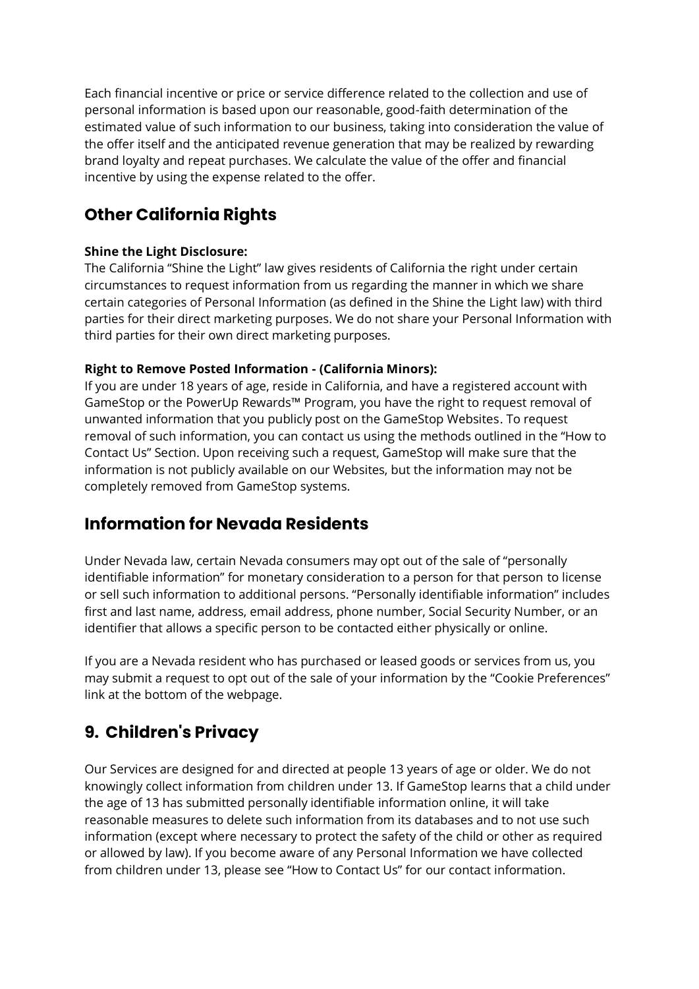Each financial incentive or price or service difference related to the collection and use of personal information is based upon our reasonable, good-faith determination of the estimated value of such information to our business, taking into consideration the value of the offer itself and the anticipated revenue generation that may be realized by rewarding brand loyalty and repeat purchases. We calculate the value of the offer and financial incentive by using the expense related to the offer.

# **Other California Rights**

### **Shine the Light Disclosure:**

The California "Shine the Light" law gives residents of California the right under certain circumstances to request information from us regarding the manner in which we share certain categories of Personal Information (as defined in the Shine the Light law) with third parties for their direct marketing purposes. We do not share your Personal Information with third parties for their own direct marketing purposes.

### **Right to Remove Posted Information - (California Minors):**

If you are under 18 years of age, reside in California, and have a registered account with GameStop or the PowerUp Rewards™ Program, you have the right to request removal of unwanted information that you publicly post on the GameStop Websites. To request removal of such information, you can contact us using the methods outlined in the "How to Contact Us" Section. Upon receiving such a request, GameStop will make sure that the information is not publicly available on our Websites, but the information may not be completely removed from GameStop systems.

### **Information for Nevada Residents**

Under Nevada law, certain Nevada consumers may opt out of the sale of "personally identifiable information" for monetary consideration to a person for that person to license or sell such information to additional persons. "Personally identifiable information" includes first and last name, address, email address, phone number, Social Security Number, or an identifier that allows a specific person to be contacted either physically or online.

If you are a Nevada resident who has purchased or leased goods or services from us, you may submit a request to opt out of the sale of your information by the "Cookie Preferences" link at the bottom of the webpage.

# **9. Children's Privacy**

Our Services are designed for and directed at people 13 years of age or older. We do not knowingly collect information from children under 13. If GameStop learns that a child under the age of 13 has submitted personally identifiable information online, it will take reasonable measures to delete such information from its databases and to not use such information (except where necessary to protect the safety of the child or other as required or allowed by law). If you become aware of any Personal Information we have collected from children under 13, please see "How to Contact Us" for our contact information.